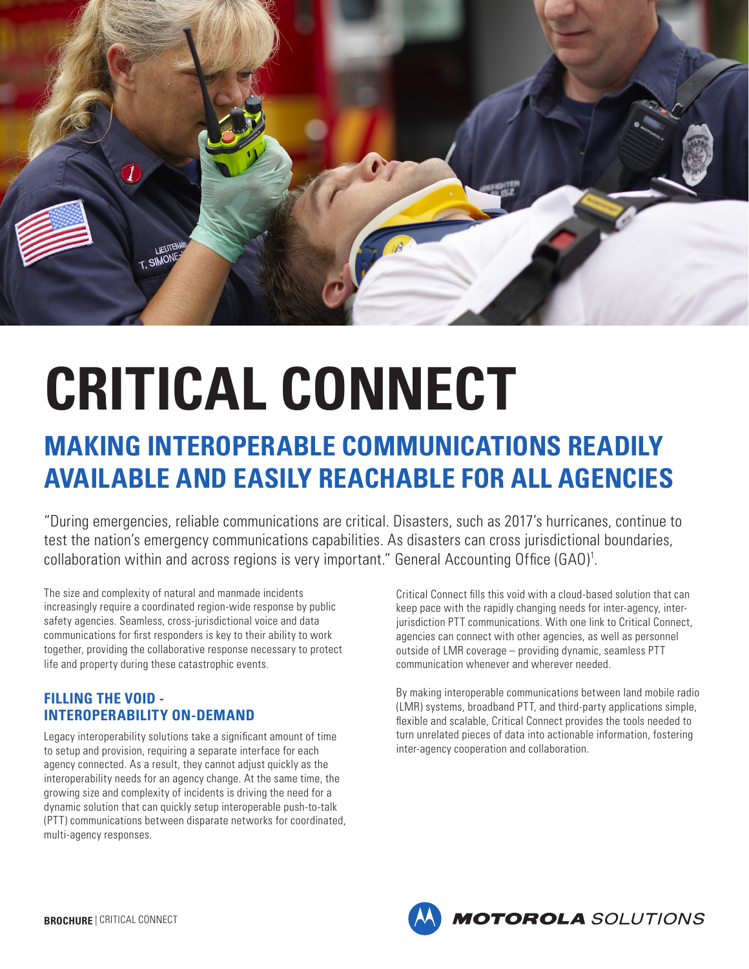

# **CRITICAL CONNECT**

# **MAKING INTEROPERABLE COMMUNICATIONS READILY AVAILABLE AND EASILY REACHABLE FOR ALL AGENCIES**

"During emergencies, reliable communications are critical. Disasters, such as 2017's hurricanes, continue to test the nation's emergency communications capabilities. As disasters can cross jurisdictional boundaries, collaboration within and across regions is very important." General Accounting Office (GAO)<sup>1</sup>.

The size and complexity of natural and manmade incidents increasingly require a coordinated region-wide response by public safety agencies. Seamless, cross-jurisdictional voice and data communications for first responders is key to their ability to work together, providing the collaborative response necessary to protect life and property during these catastrophic events.

# **FILLING THE VOID - INTEROPERABILITY ON-DEMAND**

Legacy interoperability solutions take a significant amount of time to setup and provision, requiring a separate interface for each agency connected. As a result, they cannot adjust quickly as the interoperability needs for an agency change. At the same time, the growing size and complexity of incidents is driving the need for a dynamic solution that can quickly setup interoperable push-to-talk (PTT) communications between disparate networks for coordinated, multi-agency responses.

Critical Connect fills this void with a cloud-based solution that can keep pace with the rapidly changing needs for inter-agency, interjurisdiction PTT communications. With one link to Critical Connect, agencies can connect with other agencies, as well as personnel outside of LMR coverage – providing dynamic, seamless PTT communication whenever and wherever needed.

By making interoperable communications between land mobile radio (LMR) systems, broadband PTT, and third-party applications simple, flexible and scalable, Critical Connect provides the tools needed to turn unrelated pieces of data into actionable information, fostering inter-agency cooperation and collaboration.

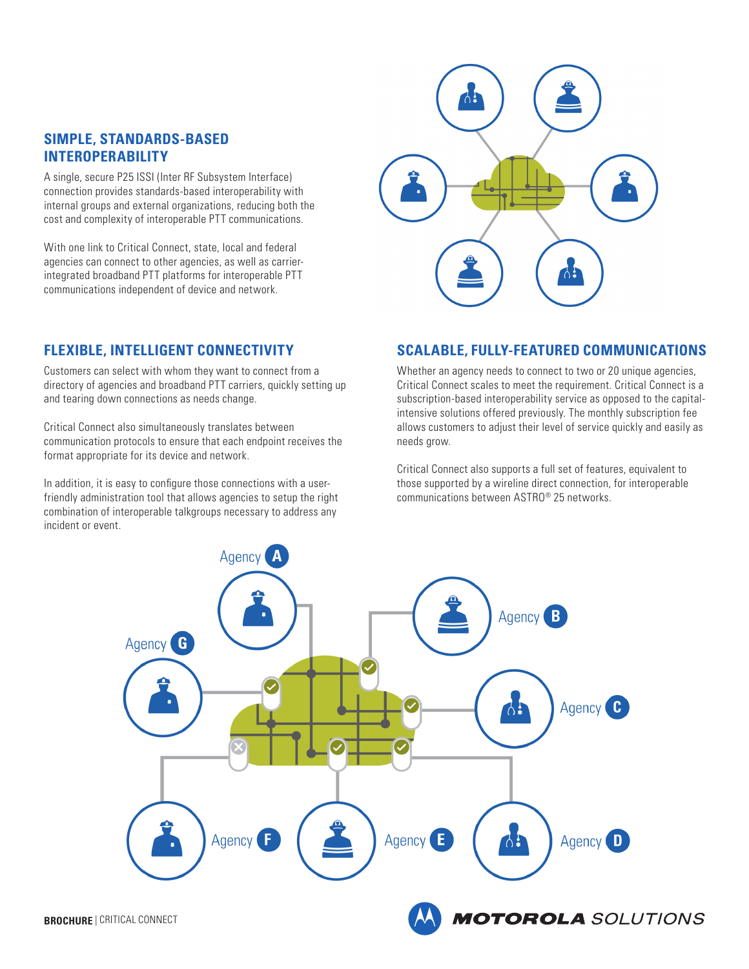#### **SIMPLE, STANDARDS-BASED INTEROPERABILITY**

A single, secure P25 ISSI (Inter RF Subsystem Interface) connection provides standards-based interoperability with internal groups and external organizations, reducing both the cost and complexity of interoperable PTT communications.

With one link to Critical Connect, state, local and federal agencies can connect to other agencies, as well as carrierintegrated broadband PTT platforms for interoperable PTT communications independent of device and network.

## **FLEXIBLE, INTELLIGENT CONNECTIVITY**

Customers can select with whom they want to connect from a directory of agencies and broadband PTT carriers, quickly setting up and tearing down connections as needs change.

Critical Connect also simultaneously translates between communication protocols to ensure that each endpoint receives the format appropriate for its device and network.

In addition, it is easy to configure those connections with a userfriendly administration tool that allows agencies to setup the right combination of interoperable talkgroups necessary to address any incident or event.



#### **SCALABLE, FULLY-FEATURED COMMUNICATIONS**

Whether an agency needs to connect to two or 20 unique agencies, Critical Connect scales to meet the requirement. Critical Connect is a subscription-based interoperability service as opposed to the capitalintensive solutions offered previously. The monthly subscription fee allows customers to adjust their level of service quickly and easily as needs grow.

Critical Connect also supports a full set of features, equivalent to those supported by a wireline direct connection, for interoperable communications between ASTRO® 25 networks.